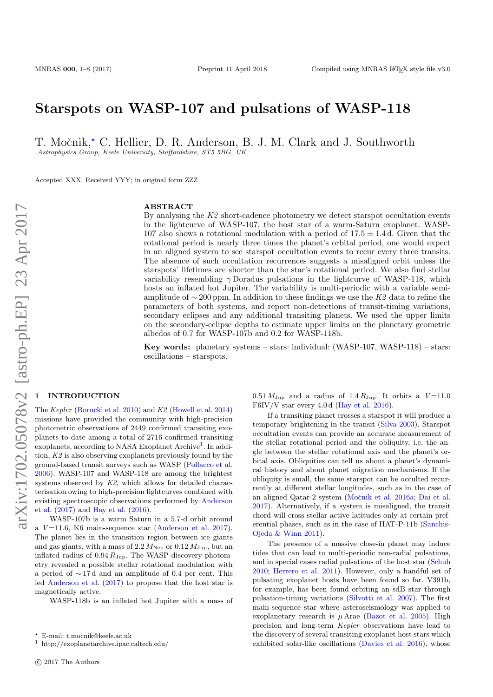# Starspots on WASP-107 and pulsations of WASP-118

T. Močnik,<sup>\*</sup> C. Hellier, D. R. Anderson, B. J. M. Clark and J. Southworth Astrophysics Group, Keele University, Staffordshire, ST5 5BG, UK

Accepted XXX. Received YYY; in original form ZZZ

#### ABSTRACT

By analysing the K2 short-cadence photometry we detect starspot occultation events in the lightcurve of WASP-107, the host star of a warm-Saturn exoplanet. WASP-107 also shows a rotational modulation with a period of  $17.5 \pm 1.4$  d. Given that the rotational period is nearly three times the planet's orbital period, one would expect in an aligned system to see starspot occultation events to recur every three transits. The absence of such occultation recurrences suggests a misaligned orbit unless the starspots' lifetimes are shorter than the star's rotational period. We also find stellar variability resembling  $\gamma$ Doradus pulsations in the lightcurve of WASP-118, which hosts an inflated hot Jupiter. The variability is multi-periodic with a variable semiamplitude of ∼ 200 ppm. In addition to these findings we use the K2 data to refine the parameters of both systems, and report non-detections of transit-timing variations, secondary eclipses and any additional transiting planets. We used the upper limits on the secondary-eclipse depths to estimate upper limits on the planetary geometric albedos of 0.7 for WASP-107b and 0.2 for WASP-118b.

Key words: planetary systems – stars: individual: (WASP-107, WASP-118) – stars: oscillations – starspots.

### <span id="page-0-0"></span>**INTRODUCTION**

The Kepler [\(Borucki et al.](#page-7-0) [2010\)](#page-7-0) and K2 [\(Howell et al.](#page-7-1) [2014\)](#page-7-1) missions have provided the community with high-precision photometric observations of 2449 confirmed transiting exoplanets to date among a total of 2716 confirmed transiting exoplanets, according to NASA Exoplanet Archive<sup>[1](#page-0-1)</sup>. In addition, K2 is also observing exoplanets previously found by the ground-based transit surveys such as WASP [\(Pollacco et al.](#page-7-2) [2006\)](#page-7-2). WASP-107 and WASP-118 are among the brightest systems observed by K2, which allows for detailed characterisation owing to high-precision lightcurves combined with existing spectroscopic observations performed by [Anderson](#page-7-3) [et al.](#page-7-3) [\(2017\)](#page-7-3) and [Hay et al.](#page-7-4) [\(2016\)](#page-7-4).

WASP-107b is a warm Saturn in a 5.7-d orbit around a  $V = 11.6$ , K6 main-sequence star [\(Anderson et al.](#page-7-3) [2017\)](#page-7-3). The planet lies in the transition region between ice giants and gas giants, with a mass of  $2.2 M_{\rm Nep}$  or  $0.12 M_{\rm Jup}$ , but an inflated radius of  $0.94 \, R_{\text{Jup}}$ . The WASP discovery photometry revealed a possible stellar rotational modulation with a period of ∼ 17 d and an amplitude of 0.4 per cent. This led [Anderson et al.](#page-7-3) [\(2017\)](#page-7-3) to propose that the host star is magnetically active.

WASP-118b is an inflated hot Jupiter with a mass of

 $0.51 M_{\text{Jup}}$  and a radius of  $1.4 R_{\text{Jup}}$ . It orbits a  $V=11.0$ F6IV/V star every  $4.0 d$  [\(Hay et al.](#page-7-4) [2016\)](#page-7-4).

If a transiting planet crosses a starspot it will produce a temporary brightening in the transit [\(Silva](#page-7-5) [2003\)](#page-7-5). Starspot occultation events can provide an accurate measurement of the stellar rotational period and the obliquity, i.e. the angle between the stellar rotational axis and the planet's orbital axis. Obliquities can tell us about a planet's dynamical history and about planet migration mechanisms. If the obliquity is small, the same starspot can be occulted recurrently at different stellar longitudes, such as in the case of an aligned Qatar-2 system (Močnik et al. [2016a;](#page-7-6) [Dai et al.](#page-7-7) [2017\)](#page-7-7). Alternatively, if a system is misaligned, the transit chord will cross stellar active latitudes only at certain preferential phases, such as in the case of HAT-P-11b [\(Sanchis-](#page-7-8)[Ojeda & Winn](#page-7-8) [2011\)](#page-7-8).

The presence of a massive close-in planet may induce tides that can lead to multi-periodic non-radial pulsations, and in special cases radial pulsations of the host star [\(Schuh](#page-7-9) [2010;](#page-7-9) [Herrero et al.](#page-7-10) [2011\)](#page-7-10). However, only a handful set of pulsating exoplanet hosts have been found so far. V391b, for example, has been found orbiting an sdB star through pulsation-timing variations [\(Silvotti et al.](#page-7-11) [2007\)](#page-7-11). The first main-sequence star where asteroseismology was applied to exoplanetary research is  $\mu$  Arae [\(Bazot et al.](#page-7-12) [2005\)](#page-7-12). High precision and long-term Kepler observations have lead to the discovery of several transiting exoplanet host stars which exhibited solar-like oscillations [\(Davies et al.](#page-7-13) [2016\)](#page-7-13), whose

<sup>?</sup> E-mail: t.mocnik@keele.ac.uk

<span id="page-0-1"></span><sup>1</sup> http://exoplanetarchive.ipac.caltech.edu/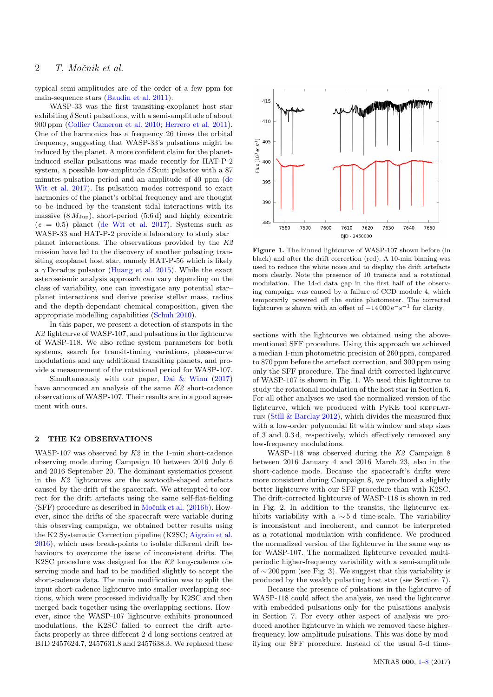typical semi-amplitudes are of the order of a few ppm for main-sequence stars [\(Baudin et al.](#page-7-14) [2011\)](#page-7-14).

WASP-33 was the first transiting-exoplanet host star exhibiting  $\delta$  Scuti pulsations, with a semi-amplitude of about 900 ppm [\(Collier Cameron et al.](#page-7-15) [2010;](#page-7-15) [Herrero et al.](#page-7-10) [2011\)](#page-7-10). One of the harmonics has a frequency 26 times the orbital frequency, suggesting that WASP-33's pulsations might be induced by the planet. A more confident claim for the planetinduced stellar pulsations was made recently for HAT-P-2 system, a possible low-amplitude  $\delta$  Scuti pulsator with a 87 minutes pulsation period and an amplitude of 40 ppm [\(de](#page-7-16) [Wit et al.](#page-7-16) [2017\)](#page-7-16). Its pulsation modes correspond to exact harmonics of the planet's orbital frequency and are thought to be induced by the transient tidal interactions with its massive  $(8 M_{Jup})$ , short-period  $(5.6 d)$  and highly eccentric  $(e = 0.5)$  planet [\(de Wit et al.](#page-7-16) [2017\)](#page-7-16). Systems such as WASP-33 and HAT-P-2 provide a laboratory to study star– planet interactions. The observations provided by the K2 mission have led to the discovery of another pulsating transiting exoplanet host star, namely HAT-P-56 which is likely a  $\gamma$  Doradus pulsator [\(Huang et al.](#page-7-17) [2015\)](#page-7-17). While the exact asteroseismic analysis approach can vary depending on the class of variability, one can investigate any potential star– planet interactions and derive precise stellar mass, radius and the depth-dependant chemical composition, given the appropriate modelling capabilities [\(Schuh](#page-7-9) [2010\)](#page-7-9).

In this paper, we present a detection of starspots in the K2 lightcurve of WASP-107, and pulsations in the lightcurve of WASP-118. We also refine system parameters for both systems, search for transit-timing variations, phase-curve modulations and any additional transiting planets, and provide a measurement of the rotational period for WASP-107.

Simultaneously with our paper, [Dai & Winn](#page-7-18) [\(2017\)](#page-7-18) have announced an analysis of the same K2 short-cadence observations of WASP-107. Their results are in a good agreement with ours.

#### 2 THE K2 OBSERVATIONS

WASP-107 was observed by  $K2$  in the 1-min short-cadence observing mode during Campaign 10 between 2016 July 6 and 2016 September 20. The dominant systematics present in the K2 lightcurves are the sawtooth-shaped artefacts caused by the drift of the spacecraft. We attempted to correct for the drift artefacts using the same self-flat-fielding  $(SFF)$  procedure as described in Močnik et al.  $(2016b)$ . However, since the drifts of the spacecraft were variable during this observing campaign, we obtained better results using the K2 Systematic Correction pipeline (K2SC; [Aigrain et al.](#page-7-20) [2016\)](#page-7-20), which uses break-points to isolate different drift behaviours to overcome the issue of inconsistent drifts. The K2SC procedure was designed for the K2 long-cadence observing mode and had to be modified slightly to accept the short-cadence data. The main modification was to split the input short-cadence lightcurve into smaller overlapping sections, which were processed individually by K2SC and then merged back together using the overlapping sections. However, since the WASP-107 lightcurve exhibits pronounced modulations, the K2SC failed to correct the drift artefacts properly at three different 2-d-long sections centred at BJD 2457624.7, 2457631.8 and 2457638.3. We replaced these



Figure 1. The binned lightcurve of WASP-107 shown before (in black) and after the drift correction (red). A 10-min binning was used to reduce the white noise and to display the drift artefacts more clearly. Note the presence of 10 transits and a rotational modulation. The 14-d data gap in the first half of the observing campaign was caused by a failure of CCD module 4, which temporarily powered off the entire photometer. The corrected lightcurve is shown with an offset of  $-14000 e^{-s-1}$  for clarity.

sections with the lightcurve we obtained using the abovementioned SFF procedure. Using this approach we achieved a median 1-min photometric precision of 260 ppm, compared to 870 ppm before the artefact correction, and 300 ppm using only the SFF procedure. The final drift-corrected lightcurve of WASP-107 is shown in Fig. 1. We used this lightcurve to study the rotational modulation of the host star in Section 6. For all other analyses we used the normalized version of the lightcurve, which we produced with PyKE tool KEPFLAT-TEN [\(Still & Barclay](#page-7-21) [2012\)](#page-7-21), which divides the measured flux with a low-order polynomial fit with window and step sizes of 3 and 0.3 d, respectively, which effectively removed any low-frequency modulations.

WASP-118 was observed during the K2 Campaign 8 between 2016 January 4 and 2016 March 23, also in the short-cadence mode. Because the spacecraft's drifts were more consistent during Campaign 8, we produced a slightly better lightcurve with our SFF procedure than with K2SC. The drift-corrected lightcurve of WASP-118 is shown in red in Fig. 2. In addition to the transits, the lightcurve exhibits variability with a  $\sim$  5-d time-scale. The variability is inconsistent and incoherent, and cannot be interpreted as a rotational modulation with confidence. We produced the normalized version of the lightcurve in the same way as for WASP-107. The normalized lightcurve revealed multiperiodic higher-frequency variability with a semi-amplitude of  $\sim$  200 ppm (see Fig. 3). We suggest that this variability is produced by the weakly pulsating host star (see Section 7).

Because the presence of pulsations in the lightcurve of WASP-118 could affect the analysis, we used the lightcurve with embedded pulsations only for the pulsations analysis in Section 7. For every other aspect of analysis we produced another lightcurve in which we removed these higherfrequency, low-amplitude pulsations. This was done by modifying our SFF procedure. Instead of the usual 5-d time-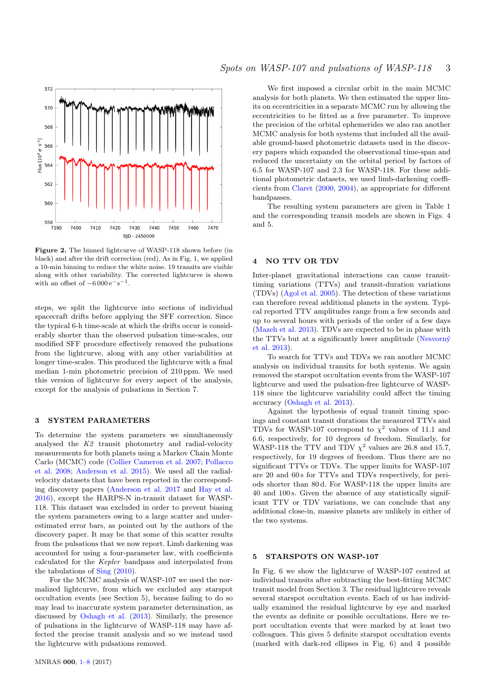

Figure 2. The binned lightcurve of WASP-118 shown before (in black) and after the drift correction (red). As in Fig. 1, we applied a 10-min binning to reduce the white noise. 19 transits are visible along with other variability. The corrected lightcurve is shown with an offset of  $-6000 e^{-s-1}$ .

steps, we split the lightcurve into sections of individual spacecraft drifts before applying the SFF correction. Since the typical 6-h time-scale at which the drifts occur is considerably shorter than the observed pulsation time-scales, our modified SFF procedure effectively removed the pulsations from the lightcurve, along with any other variabilities at longer time-scales. This produced the lightcurve with a final median 1-min photometric precision of 210 ppm. We used this version of lightcurve for every aspect of the analysis, except for the analysis of pulsations in Section 7.

#### 3 SYSTEM PARAMETERS

To determine the system parameters we simultaneously analysed the K2 transit photometry and radial-velocity measurements for both planets using a Markov Chain Monte Carlo (MCMC) code [\(Collier Cameron et al.](#page-7-22) [2007;](#page-7-22) [Pollacco](#page-7-23) [et al.](#page-7-23) [2008;](#page-7-23) [Anderson et al.](#page-7-24) [2015\)](#page-7-24). We used all the radialvelocity datasets that have been reported in the corresponding discovery papers [\(Anderson et al.](#page-7-3) [2017](#page-7-3) and [Hay et al.](#page-7-4) [2016\)](#page-7-4), except the HARPS-N in-transit dataset for WASP-118. This dataset was excluded in order to prevent biasing the system parameters owing to a large scatter and underestimated error bars, as pointed out by the authors of the discovery paper. It may be that some of this scatter results from the pulsations that we now report. Limb darkening was accounted for using a four-parameter law, with coefficients calculated for the Kepler bandpass and interpolated from the tabulations of [Sing](#page-7-25) [\(2010\)](#page-7-25).

For the MCMC analysis of WASP-107 we used the normalized lightcurve, from which we excluded any starspot occultation events (see Section 5), because failing to do so may lead to inaccurate system parameter determination, as discussed by [Oshagh et al.](#page-7-26) [\(2013\)](#page-7-26). Similarly, the presence of pulsations in the lightcurve of WASP-118 may have affected the precise transit analysis and so we instead used the lightcurve with pulsations removed.

We first imposed a circular orbit in the main MCMC analysis for both planets. We then estimated the upper limits on eccentricities in a separate MCMC run by allowing the eccentricities to be fitted as a free parameter. To improve the precision of the orbital ephemerides we also ran another MCMC analysis for both systems that included all the available ground-based photometric datasets used in the discovery papers which expanded the observational time-span and reduced the uncertainty on the orbital period by factors of 6.5 for WASP-107 and 2.3 for WASP-118. For these additional photometric datasets, we used limb-darkening coefficients from [Claret](#page-7-27) [\(2000,](#page-7-27) [2004\)](#page-7-28), as appropriate for different bandpasses.

The resulting system parameters are given in Table 1 and the corresponding transit models are shown in Figs. 4 and 5.

#### 4 NO TTV OR TDV

Inter-planet gravitational interactions can cause transittiming variations (TTVs) and transit-duration variations (TDVs) [\(Agol et al.](#page-7-29) [2005\)](#page-7-29). The detection of these variations can therefore reveal additional planets in the system. Typical reported TTV amplitudes range from a few seconds and up to several hours with periods of the order of a few days [\(Mazeh et al.](#page-7-30) [2013\)](#page-7-30). TDVs are expected to be in phase with the TTVs but at a significantly lower amplitude (Nesvorný [et al.](#page-7-31) [2013\)](#page-7-31).

To search for TTVs and TDVs we ran another MCMC analysis on individual transits for both systems. We again removed the starspot occultation events from the WASP-107 lightcurve and used the pulsation-free lightcurve of WASP-118 since the lightcurve variability could affect the timing accuracy [\(Oshagh et al.](#page-7-26) [2013\)](#page-7-26).

Against the hypothesis of equal transit timing spacings and constant transit durations the measured TTVs and TDVs for WASP-107 correspond to  $\chi^2$  values of 11.1 and 6.6, respectively, for 10 degrees of freedom. Similarly, for WASP-118 the TTV and TDV  $\chi^2$  values are 26.8 and 15.7, respectively, for 19 degrees of freedom. Thus there are no significant TTVs or TDVs. The upper limits for WASP-107 are 20 and 60 s for TTVs and TDVs respectively, for periods shorter than 80 d. For WASP-118 the upper limits are 40 and 100 s. Given the absence of any statistically significant TTV or TDV variations, we can conclude that any additional close-in, massive planets are unlikely in either of the two systems.

#### 5 STARSPOTS ON WASP-107

In Fig. 6 we show the lightcurve of WASP-107 centred at individual transits after subtracting the best-fitting MCMC transit model from Section 3. The residual lightcurve reveals several starspot occultation events. Each of us has individually examined the residual lightcurve by eye and marked the events as definite or possible occultations. Here we report occultation events that were marked by at least two colleagues. This gives 5 definite starspot occultation events (marked with dark-red ellipses in Fig. 6) and 4 possible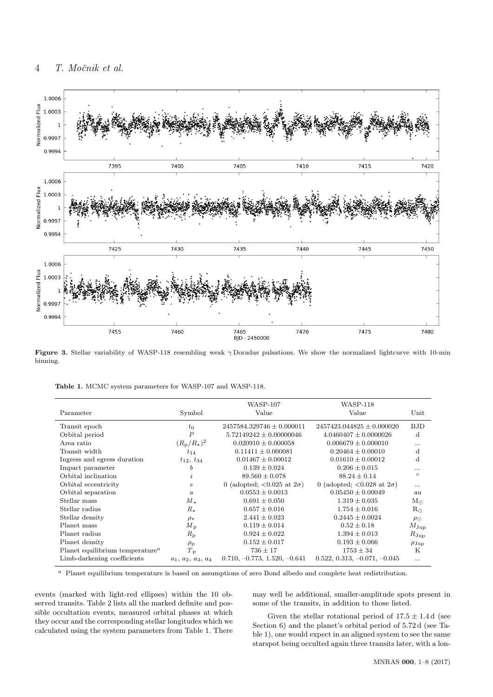

Figure 3. Stellar variability of WASP-118 resembling weak  $\gamma$  Doradus pulsations. We show the normalized lightcurve with 10-min binning.

|                                                          |                           | <b>WASP-107</b>                                         | <b>WASP-118</b>                                         |                  |
|----------------------------------------------------------|---------------------------|---------------------------------------------------------|---------------------------------------------------------|------------------|
| Parameter                                                | Symbol                    | Value                                                   | Value                                                   | Unit             |
| Transit epoch                                            | $t_0$                     | $2457584.329746 \pm 0.000011$                           | $2457423.044825 \pm 0.000020$                           | <b>BJD</b>       |
| Orbital period                                           | $\boldsymbol{P}$          | $5.72149242 \pm 0.00000046$                             | $4.0460407 \pm 0.0000026$                               | $\mathbf d$      |
| Area ratio                                               | $(R_{\rm p}/R_{\star})^2$ | $0.020910 \pm 0.000058$                                 | $0.006679 \pm 0.000010$                                 |                  |
| Transit width                                            | $t_{14}$                  | $0.11411 \pm 0.000081$                                  | $0.20464 \pm 0.00010$                                   | $\mathbf d$      |
| Ingress and egress duration                              | $t_{12}, t_{34}$          | $0.01467 \pm 0.00012$                                   | $0.01610 \pm 0.00012$                                   | $\mathbf d$      |
| Impact parameter                                         | b                         | $0.139 \pm 0.024$                                       | $0.206 \pm 0.015$                                       | .                |
| Orbital inclination                                      | $\mathfrak{p}$            | $89.560 \pm 0.078$                                      | $88.24 \pm 0.14$                                        | $\circ$          |
| Orbital eccentricity                                     | $\epsilon$                | 0 (adopted; $\langle 0.025 \text{ at } 2\sigma \rangle$ | 0 (adopted; $\langle 0.028 \text{ at } 2\sigma \rangle$ | .                |
| Orbital separation                                       | $\alpha$                  | $0.0553 \pm 0.0013$                                     | $0.05450 \pm 0.00049$                                   | au               |
| Stellar mass                                             | $M_{\star}$               | $0.691 \pm 0.050$                                       | $1.319 \pm 0.035$                                       | $M_{\odot}$      |
| Stellar radius                                           | $R_{\star}$               | $0.657 \pm 0.016$                                       | $1.754 \pm 0.016$                                       | $R_{\odot}$      |
| Stellar density                                          | $\rho_{\star}$            | $2.441 \pm 0.023$                                       | $0.2445 \pm 0.0024$                                     | $\rho_{\odot}$   |
| Planet mass                                              | $M_{\rm p}$               | $0.119 \pm 0.014$                                       | $0.52 \pm 0.18$                                         | $M_{\rm Jup}$    |
| Planet radius                                            | $R_{\rm p}$               | $0.924 \pm 0.022$                                       | $1.394 \pm 0.013$                                       | $R_{\rm Jup}$    |
| Planet density                                           | $\rho_{\rm p}$            | $0.152 \pm 0.017$                                       | $0.193 \pm 0.066$                                       | $\rho_{\rm Jup}$ |
| Planet equilibrium temperature <sup><math>a</math></sup> | $T_{\rm p}$               | $736 \pm 17$                                            | $1753 \pm 34$                                           | K                |
| Limb-darkening coefficients                              | $a_1, a_2, a_3, a_4$      | $0.710, -0.773, 1.520, -0.641$                          | $0.522, 0.313, -0.071, -0.045$                          | .                |

<sup>a</sup> Planet equilibrium temperature is based on assumptions of zero Bond albedo and complete heat redistribution.

events (marked with light-red ellipses) within the 10 observed transits. Table 2 lists all the marked definite and possible occultation events, measured orbital phases at which they occur and the corresponding stellar longitudes which we calculated using the system parameters from Table 1. There

may well be additional, smaller-amplitude spots present in some of the transits, in addition to those listed.

Given the stellar rotational period of  $17.5 \pm 1.4$  d (see Section 6) and the planet's orbital period of 5.72 d (see Table 1), one would expect in an aligned system to see the same starspot being occulted again three transits later, with a lon-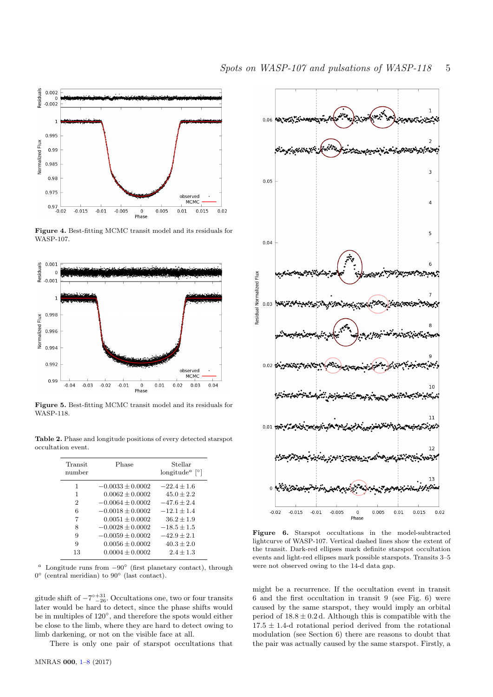

Figure 4. Best-fitting MCMC transit model and its residuals for WASP-107.



Figure 5. Best-fitting MCMC transit model and its residuals for WASP-118.

Table 2. Phase and longitude positions of every detected starspot occultation event.

| Transit<br>number | Phase                | Stellar<br>longitude <sup><i>a</i></sup>   <sup>o</sup> |
|-------------------|----------------------|---------------------------------------------------------|
| 1                 | $-0.0033 + 0.0002$   | $-22.4 + 1.6$                                           |
| 1                 | $0.0062 + 0.0002$    | $45.0 + 2.2$                                            |
| 2                 | $-0.0064 \pm 0.0002$ | $-47.6 \pm 2.4$                                         |
| 6                 | $-0.0018 + 0.0002$   | $-12.1 + 1.4$                                           |
| 7                 | $0.0051 + 0.0002$    | $36.2 + 1.9$                                            |
| 8                 | $-0.0028 + 0.0002$   | $-18.5 + 1.5$                                           |
| 9                 | $-0.0059 \pm 0.0002$ | $-42.9 + 2.1$                                           |
| 9                 | $0.0056 \pm 0.0002$  | $40.3 + 2.0$                                            |
| 13                | $0.0004 \pm 0.0002$  | $2.4 + 1.3$                                             |

<sup>a</sup> Longitude runs from  $-90^\circ$  (first planetary contact), through 0 ◦ (central meridian) to 90◦ (last contact).

gitude shift of  $-7^{\circ}{}_{-26}^{+31}$ . Occultations one, two or four transits later would be hard to detect, since the phase shifts would be in multiples of 120◦ , and therefore the spots would either be close to the limb, where they are hard to detect owing to limb darkening, or not on the visible face at all.

There is only one pair of starspot occultations that



Figure 6. Starspot occultations in the model-subtracted lightcurve of WASP-107. Vertical dashed lines show the extent of the transit. Dark-red ellipses mark definite starspot occultation events and light-red ellipses mark possible starspots. Transits 3–5 were not observed owing to the 14-d data gap.

might be a recurrence. If the occultation event in transit 6 and the first occultation in transit 9 (see Fig. 6) were caused by the same starspot, they would imply an orbital period of  $18.8 \pm 0.2$  d. Although this is compatible with the  $17.5 \pm 1.4$ -d rotational period derived from the rotational modulation (see Section 6) there are reasons to doubt that the pair was actually caused by the same starspot. Firstly, a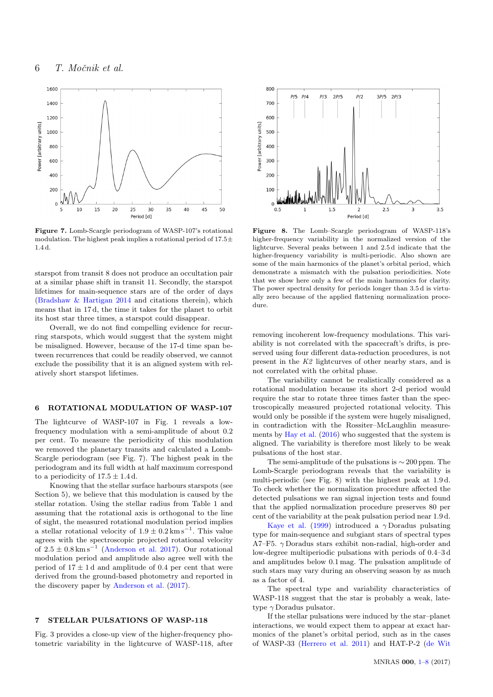

Figure 7. Lomb-Scargle periodogram of WASP-107's rotational modulation. The highest peak implies a rotational period of  $17.5\pm$ 1.4 d.

starspot from transit 8 does not produce an occultation pair at a similar phase shift in transit 11. Secondly, the starspot lifetimes for main-sequence stars are of the order of days [\(Bradshaw & Hartigan](#page-7-32) [2014](#page-7-32) and citations therein), which means that in 17 d, the time it takes for the planet to orbit its host star three times, a starspot could disappear.

Overall, we do not find compelling evidence for recurring starspots, which would suggest that the system might be misaligned. However, because of the 17-d time span between recurrences that could be readily observed, we cannot exclude the possibility that it is an aligned system with relatively short starspot lifetimes.

#### 6 ROTATIONAL MODULATION OF WASP-107

The lightcurve of WASP-107 in Fig. 1 reveals a lowfrequency modulation with a semi-amplitude of about 0.2 per cent. To measure the periodicity of this modulation we removed the planetary transits and calculated a Lomb-Scargle periodogram (see Fig. 7). The highest peak in the periodogram and its full width at half maximum correspond to a periodicity of  $17.5 \pm 1.4$  d.

Knowing that the stellar surface harbours starspots (see Section 5), we believe that this modulation is caused by the stellar rotation. Using the stellar radius from Table 1 and assuming that the rotational axis is orthogonal to the line of sight, the measured rotational modulation period implies a stellar rotational velocity of  $1.9 \pm 0.2$  km s<sup>-1</sup>. This value agrees with the spectroscopic projected rotational velocity of  $2.5 \pm 0.8 \,\mathrm{km \,s}^{-1}$  [\(Anderson et al.](#page-7-3) [2017\)](#page-7-3). Our rotational modulation period and amplitude also agree well with the period of  $17 \pm 1$  d and amplitude of 0.4 per cent that were derived from the ground-based photometry and reported in the discovery paper by [Anderson et al.](#page-7-3) [\(2017\)](#page-7-3).

### 7 STELLAR PULSATIONS OF WASP-118

Fig. 3 provides a close-up view of the higher-frequency photometric variability in the lightcurve of WASP-118, after



Figure 8. The Lomb–Scargle periodogram of WASP-118's higher-frequency variability in the normalized version of the lightcurve. Several peaks between 1 and 2.5 d indicate that the higher-frequency variability is multi-periodic. Also shown are some of the main harmonics of the planet's orbital period, which demonstrate a mismatch with the pulsation periodicities. Note that we show here only a few of the main harmonics for clarity. The power spectral density for periods longer than 3.5 d is virtually zero because of the applied flattening normalization procedure.

removing incoherent low-frequency modulations. This variability is not correlated with the spacecraft's drifts, is preserved using four different data-reduction procedures, is not present in the K2 lightcurves of other nearby stars, and is not correlated with the orbital phase.

The variability cannot be realistically considered as a rotational modulation because its short 2-d period would require the star to rotate three times faster than the spectroscopically measured projected rotational velocity. This would only be possible if the system were hugely misaligned, in contradiction with the Rossiter–McLaughlin measurements by [Hay et al.](#page-7-4) [\(2016\)](#page-7-4) who suggested that the system is aligned. The variability is therefore most likely to be weak pulsations of the host star.

The semi-amplitude of the pulsations is ∼ 200 ppm. The Lomb-Scargle periodogram reveals that the variability is multi-periodic (see Fig. 8) with the highest peak at 1.9 d. To check whether the normalization procedure affected the detected pulsations we ran signal injection tests and found that the applied normalization procedure preserves 80 per cent of the variability at the peak pulsation period near 1.9 d.

[Kaye et al.](#page-7-33) [\(1999\)](#page-7-33) introduced a  $\gamma$  Doradus pulsating type for main-sequence and subgiant stars of spectral types A7–F5.  $\gamma$  Doradus stars exhibit non-radial, high-order and low-degree multiperiodic pulsations with periods of 0.4–3 d and amplitudes below 0.1 mag. The pulsation amplitude of such stars may vary during an observing season by as much as a factor of 4.

The spectral type and variability characteristics of WASP-118 suggest that the star is probably a weak, latetype  $\gamma$  Doradus pulsator.

If the stellar pulsations were induced by the star–planet interactions, we would expect them to appear at exact harmonics of the planet's orbital period, such as in the cases of WASP-33 [\(Herrero et al.](#page-7-10) [2011\)](#page-7-10) and HAT-P-2 [\(de Wit](#page-7-16)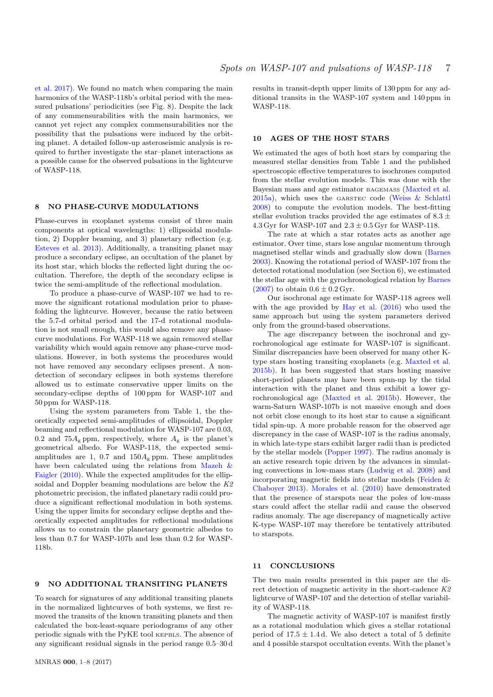[et al.](#page-7-16) [2017\)](#page-7-16). We found no match when comparing the main harmonics of the WASP-118b's orbital period with the measured pulsations' periodicities (see Fig. 8). Despite the lack of any commensurabilities with the main harmonics, we cannot yet reject any complex commensurabilities nor the possibility that the pulsations were induced by the orbiting planet. A detailed follow-up asteroseismic analysis is required to further investigate the star–planet interactions as a possible cause for the observed pulsations in the lightcurve of WASP-118.

#### 8 NO PHASE-CURVE MODULATIONS

Phase-curves in exoplanet systems consist of three main components at optical wavelengths: 1) ellipsoidal modulation, 2) Doppler beaming, and 3) planetary reflection (e.g. [Esteves et al.](#page-7-34) [2013\)](#page-7-34). Additionally, a transiting planet may produce a secondary eclipse, an occultation of the planet by its host star, which blocks the reflected light during the occultation. Therefore, the depth of the secondary eclipse is twice the semi-amplitude of the reflectional modulation.

To produce a phase-curve of WASP-107 we had to remove the significant rotational modulation prior to phasefolding the lightcurve. However, because the ratio between the 5.7-d orbital period and the 17-d rotational modulation is not small enough, this would also remove any phasecurve modulations. For WASP-118 we again removed stellar variability which would again remove any phase-curve modulations. However, in both systems the procedures would not have removed any secondary eclipses present. A nondetection of secondary eclipses in both systems therefore allowed us to estimate conservative upper limits on the secondary-eclipse depths of 100 ppm for WASP-107 and 50 ppm for WASP-118.

Using the system parameters from Table 1, the theoretically expected semi-amplitudes of ellipsoidal, Doppler beaming and reflectional modulation for WASP-107 are 0.03, 0.2 and 75 $A_{\rm g}$  ppm, respectively, where  $A_{\rm g}$  is the planet's geometrical albedo. For WASP-118, the expected semiamplitudes are 1, 0.7 and  $150A<sub>g</sub>$  ppm. These amplitudes have been calculated using the relations from [Mazeh &](#page-7-35) [Faigler](#page-7-35) [\(2010\)](#page-7-35). While the expected amplitudes for the ellipsoidal and Doppler beaming modulations are below the K2 photometric precision, the inflated planetary radii could produce a significant reflectional modulation in both systems. Using the upper limits for secondary eclipse depths and theoretically expected amplitudes for reflectional modulations allows us to constrain the planetary geometric albedos to less than 0.7 for WASP-107b and less than 0.2 for WASP-118b.

## 9 NO ADDITIONAL TRANSITING PLANETS

To search for signatures of any additional transiting planets in the normalized lightcurves of both systems, we first removed the transits of the known transiting planets and then calculated the box-least-square periodograms of any other periodic signals with the PyKE tool KEPBLS. The absence of any significant residual signals in the period range 0.5–30 d

results in transit-depth upper limits of 130 ppm for any additional transits in the WASP-107 system and 140 ppm in WASP-118.

#### 10 AGES OF THE HOST STARS

We estimated the ages of both host stars by comparing the measured stellar densities from Table 1 and the published spectroscopic effective temperatures to isochrones computed from the stellar evolution models. This was done with the Bayesian mass and age estimator BAGEMASS [\(Maxted et al.](#page-7-36) [2015a\)](#page-7-36), which uses the GARSTEC code (Weiss  $&$  Schlattl [2008\)](#page-7-37) to compute the evolution models. The best-fitting stellar evolution tracks provided the age estimates of  $8.3 \pm$ 4.3 Gyr for WASP-107 and  $2.3 \pm 0.5$  Gyr for WASP-118.

The rate at which a star rotates acts as another age estimator. Over time, stars lose angular momentum through magnetised stellar winds and gradually slow down [\(Barnes](#page-7-38) [2003\)](#page-7-38). Knowing the rotational period of WASP-107 from the detected rotational modulation (see Section 6), we estimated the stellar age with the gyrochronological relation by [Barnes](#page-7-39)  $(2007)$  to obtain  $0.6 \pm 0.2$  Gyr.

Our isochronal age estimate for WASP-118 agrees well with the age provided by [Hay et al.](#page-7-4) [\(2016\)](#page-7-4) who used the same approach but using the system parameters derived only from the ground-based observations.

The age discrepancy between the isochronal and gyrochronological age estimate for WASP-107 is significant. Similar discrepancies have been observed for many other Ktype stars hosting transiting exoplanets (e.g. [Maxted et al.](#page-7-40) [2015b\)](#page-7-40). It has been suggested that stars hosting massive short-period planets may have been spun-up by the tidal interaction with the planet and thus exhibit a lower gyrochronological age [\(Maxted et al.](#page-7-40) [2015b\)](#page-7-40). However, the warm-Saturn WASP-107b is not massive enough and does not orbit close enough to its host star to cause a significant tidal spin-up. A more probable reason for the observed age discrepancy in the case of WASP-107 is the radius anomaly, in which late-type stars exhibit larger radii than is predicted by the stellar models [\(Popper](#page-7-41) [1997\)](#page-7-41). The radius anomaly is an active research topic driven by the advances in simulating convections in low-mass stars [\(Ludwig et al.](#page-7-42) [2008\)](#page-7-42) and incorporating magnetic fields into stellar models [\(Feiden &](#page-7-43) [Chaboyer](#page-7-43) [2013\)](#page-7-43). [Morales et al.](#page-7-44) [\(2010\)](#page-7-44) have demonstrated that the presence of starspots near the poles of low-mass stars could affect the stellar radii and cause the observed radius anomaly. The age discrepancy of magnetically active K-type WASP-107 may therefore be tentatively attributed to starspots.

#### <span id="page-6-0"></span>11 CONCLUSIONS

The two main results presented in this paper are the direct detection of magnetic activity in the short-cadence K2 lightcurve of WASP-107 and the detection of stellar variability of WASP-118.

The magnetic activity of WASP-107 is manifest firstly as a rotational modulation which gives a stellar rotational period of  $17.5 \pm 1.4$  d. We also detect a total of 5 definite and 4 possible starspot occultation events. With the planet's